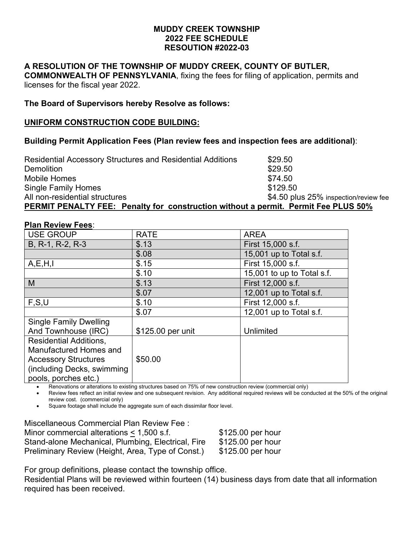## **MUDDY CREEK TOWNSHIP 2022 FEE SCHEDULE RESOUTION #2022-03**

## **A RESOLUTION OF THE TOWNSHIP OF MUDDY CREEK, COUNTY OF BUTLER,**

**COMMONWEALTH OF PENNSYLVANIA**, fixing the fees for filing of application, permits and licenses for the fiscal year 2022.

## **The Board of Supervisors hereby Resolve as follows:**

### **UNIFORM CONSTRUCTION CODE BUILDING:**

## **Building Permit Application Fees (Plan review fees and inspection fees are additional)**:

| <b>Residential Accessory Structures and Residential Additions</b>                         | \$29.50                               |
|-------------------------------------------------------------------------------------------|---------------------------------------|
| <b>Demolition</b>                                                                         | \$29.50                               |
| Mobile Homes                                                                              | \$74.50                               |
| <b>Single Family Homes</b>                                                                | \$129.50                              |
| All non-residential structures                                                            | \$4.50 plus 25% inspection/review fee |
| <b>PERMIT PENALTY FEE: Penalty for construction without a permit. Permit Fee PLUS 50%</b> |                                       |

## **Plan Review Fees**:

| <b>USE GROUP</b>              | <b>RATE</b>       | <b>AREA</b>                |
|-------------------------------|-------------------|----------------------------|
| B, R-1, R-2, R-3              | \$.13             | First 15,000 s.f.          |
|                               | \$.08             | 15,001 up to Total s.f.    |
| A, E, H, I                    | \$.15             | First 15,000 s.f.          |
|                               | \$.10             | 15,001 to up to Total s.f. |
| M                             | \$.13             | First 12,000 s.f.          |
|                               | \$.07             | 12,001 up to Total s.f.    |
| F, S, U                       | \$.10             | First 12,000 s.f.          |
|                               | \$.07             | 12,001 up to Total s.f.    |
| <b>Single Family Dwelling</b> |                   |                            |
| And Townhouse (IRC)           | \$125.00 per unit | Unlimited                  |
| <b>Residential Additions.</b> |                   |                            |
| Manufactured Homes and        |                   |                            |
| <b>Accessory Structures</b>   | \$50.00           |                            |
| (including Decks, swimming    |                   |                            |
| pools, porches etc.)          |                   |                            |

• Renovations or alterations to existing structures based on 75% of new construction review (commercial only)

• Review fees reflect an initial review and one subsequent revision. Any additional required reviews will be conducted at the 50% of the original review cost. (commercial only)

• Square footage shall include the aggregate sum of each dissimilar floor level.

Miscellaneous Commercial Plan Review Fee : Minor commercial alterations  $\leq 1,500$  s.f.  $$125.00$  per hour Stand-alone Mechanical, Plumbing, Electrical, Fire \$125.00 per hour Preliminary Review (Height, Area, Type of Const.) \$125.00 per hour

For group definitions, please contact the township office.

Residential Plans will be reviewed within fourteen (14) business days from date that all information required has been received.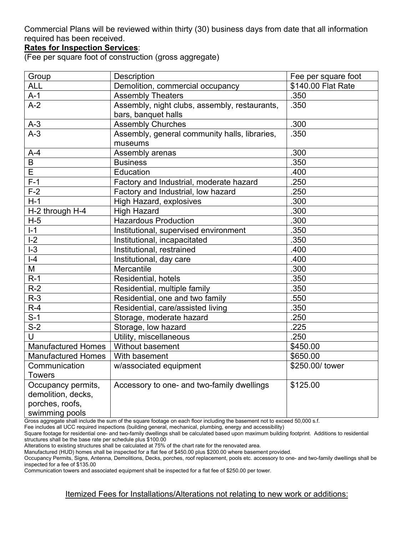Commercial Plans will be reviewed within thirty (30) business days from date that all information required has been received.

## **Rates for Inspection Services**:

(Fee per square foot of construction (gross aggregate)

| Group                     | Description                                   | Fee per square foot |
|---------------------------|-----------------------------------------------|---------------------|
| <b>ALL</b>                | Demolition, commercial occupancy              | \$140.00 Flat Rate  |
| $A-1$                     | <b>Assembly Theaters</b>                      | .350                |
| $A-2$                     | Assembly, night clubs, assembly, restaurants, | .350                |
|                           | bars, banquet halls                           |                     |
| $A-3$                     | <b>Assembly Churches</b>                      | .300                |
| $A-3$                     | Assembly, general community halls, libraries, | .350                |
|                           | museums                                       |                     |
| $A-4$                     | Assembly arenas                               | .300                |
| B                         | <b>Business</b>                               | .350                |
| E                         | Education                                     | .400                |
| $F-1$                     | Factory and Industrial, moderate hazard       | .250                |
| $F-2$                     | Factory and Industrial, low hazard            | .250                |
| $H-1$                     | High Hazard, explosives                       | .300                |
| H-2 through H-4           | <b>High Hazard</b>                            | .300                |
| $H-5$                     | <b>Hazardous Production</b>                   | .300                |
| $I-1$                     | Institutional, supervised environment         | .350                |
| $I-2$                     | Institutional, incapacitated                  | .350                |
| $I-3$                     | Institutional, restrained                     | .400                |
| $\overline{\phantom{0}}$  | Institutional, day care                       | .400                |
| $\overline{\mathsf{M}}$   | Mercantile                                    | .300                |
| $R-1$                     | Residential, hotels                           | .350                |
| $R-2$                     | Residential, multiple family                  | .350                |
| $R-3$                     | Residential, one and two family               | .550                |
| $R-4$                     | Residential, care/assisted living             | .350                |
| $S-1$                     | Storage, moderate hazard                      | .250                |
| $S-2$                     | Storage, low hazard                           | .225                |
| $\cup$                    | Utility, miscellaneous                        | .250                |
| <b>Manufactured Homes</b> | Without basement                              | \$450.00            |
| <b>Manufactured Homes</b> | With basement                                 | \$650.00            |
| Communication             | w/associated equipment                        | \$250.00/ tower     |
| <b>Towers</b>             |                                               |                     |
| Occupancy permits,        | Accessory to one- and two-family dwellings    | \$125.00            |
| demolition, decks,        |                                               |                     |
| porches, roofs,           |                                               |                     |
| swimming pools            |                                               |                     |

Gross aggregate shall include the sum of the square footage on each floor including the basement not to exceed 50,000 s.f.

Fee includes all UCC required inspections (building general, mechanical, plumbing, energy and accessibility)

Square footage for residential one- and two-family dwellings shall be calculated based upon maximum building footprint. Additions to residential structures shall be the base rate per schedule plus \$100.00

Alterations to existing structures shall be calculated at 75% of the chart rate for the renovated area.

Manufactured (HUD) homes shall be inspected for a flat fee of \$450.00 plus \$200.00 where basement provided.

Occupancy Permits, Signs, Antenna, Demolitions, Decks, porches, roof replacement, pools etc. accessory to one- and two-family dwellings shall be inspected for a fee of \$135.00

Communication towers and associated equipment shall be inspected for a flat fee of \$250.00 per tower.

Itemized Fees for Installations/Alterations not relating to new work or additions: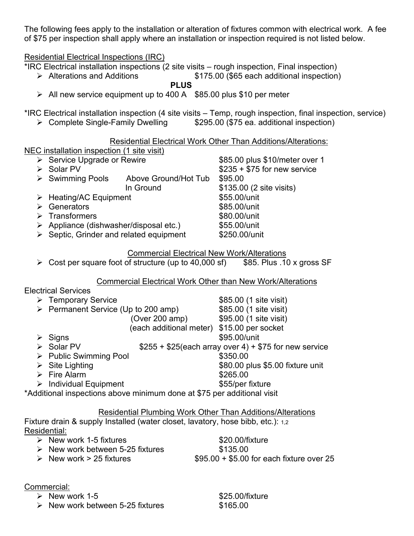The following fees apply to the installation or alteration of fixtures common with electrical work. A fee of \$75 per inspection shall apply where an installation or inspection required is not listed below.

Residential Electrical Inspections (IRC)

 $*$ IRC Electrical installation inspections (2 site visits – rough inspection, Final inspection)

▶ Alterations and Additions 6175.00 (\$65 each additional inspection)

**PLUS**

 $\ge$  All new service equipment up to 400 A  $$85.00$  plus \$10 per meter

\*IRC Electrical installation inspection (4 site visits – Temp, rough inspection, final inspection, service)

▶ Complete Single-Family Dwelling \$295.00 (\$75 ea. additional inspection)

Residential Electrical Work Other Than Additions/Alterations:

|                                                        |                      | INGSIYOHUGI LIGUULGI YYUIN UUTOI TITAIT AYYINDIIS/ANGIANUIIS. |
|--------------------------------------------------------|----------------------|---------------------------------------------------------------|
| NEC installation inspection (1 site visit)             |                      |                                                               |
| $\triangleright$ Service Upgrade or Rewire             |                      | \$85.00 plus \$10/meter over 1                                |
| Solar PV                                               |                      | $$235 + $75$ for new service                                  |
| $\triangleright$ Swimming Pools                        | Above Ground/Hot Tub | \$95.00                                                       |
|                                                        | In Ground            | \$135.00 (2 site visits)                                      |
| $\triangleright$ Heating/AC Equipment                  |                      | \$55.00/unit                                                  |
| Generators                                             |                      | \$85.00/unit                                                  |
| $\triangleright$ Transformers                          |                      | \$80.00/unit                                                  |
| $\triangleright$ Appliance (dishwasher/disposal etc.)  |                      | \$55.00/unit                                                  |
| $\triangleright$ Septic, Grinder and related equipment |                      | \$250.00/unit                                                 |
|                                                        |                      |                                                               |

## Commercial Electrical New Work/Alterations

 $\triangleright$  Cost per square foot of structure (up to 40,000 sf) \$85. Plus .10 x gross SF

## Commercial Electrical Work Other than New Work/Alterations

# Electrical Services

| > Temporary Service                                |                                                                         | \$85.00 (1 site visit)                                  |
|----------------------------------------------------|-------------------------------------------------------------------------|---------------------------------------------------------|
| $\triangleright$ Permanent Service (Up to 200 amp) |                                                                         | \$85.00 (1 site visit)                                  |
|                                                    | (Over 200 amp)                                                          | \$95.00 (1 site visit)                                  |
|                                                    | (each additional meter) \$15.00 per socket                              |                                                         |
| $\triangleright$ Signs                             |                                                                         | \$95.00/unit                                            |
| Solar PV                                           |                                                                         | $$255 + $25$ (each array over 4) + \$75 for new service |
| $\triangleright$ Public Swimming Pool              |                                                                         | \$350.00                                                |
| $\triangleright$ Site Lighting                     |                                                                         | \$80.00 plus \$5.00 fixture unit                        |
| $\triangleright$ Fire Alarm                        |                                                                         | \$265.00                                                |
| $\triangleright$ Individual Equipment              |                                                                         | \$55/per fixture                                        |
|                                                    | *Additional inspections above minimum done at \$75 per additional visit |                                                         |
|                                                    |                                                                         |                                                         |

## Residential Plumbing Work Other Than Additions/Alterations

Fixture drain & supply Installed (water closet, lavatory, hose bibb, etc.): 1,2 Residential:

- ▶ New work 1-5 fixtures \$20.00/fixture  $\triangleright$  New work between 5-25 fixtures  $$135.00$  $\geq$  New work > 25 fixtures  $$95.00 + $5.00$  for each fixture over 25
- 

Commercial:

▶ New work 1-5 \$25.00/fixture

 $\geq$  New work between 5-25 fixtures  $$165.00$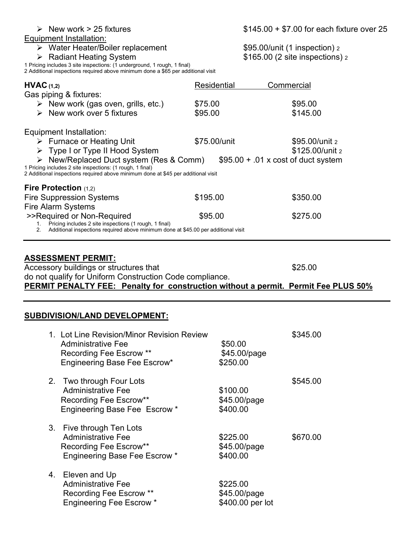## Equipment Installation:

Radiant Heating System \$165.00 (2 site inspections) <sup>2</sup>

1 Pricing includes 3 site inspections: (1 underground, 1 rough, 1 final)

2 Additional inspections required above minimum done a \$65 per additional visit

| Residential                                                                                                                                                                                                                                                  | Commercial                                                                         |  |
|--------------------------------------------------------------------------------------------------------------------------------------------------------------------------------------------------------------------------------------------------------------|------------------------------------------------------------------------------------|--|
| \$75.00                                                                                                                                                                                                                                                      | \$95.00                                                                            |  |
| \$95.00                                                                                                                                                                                                                                                      | \$145.00                                                                           |  |
|                                                                                                                                                                                                                                                              |                                                                                    |  |
| \$75.00/unit                                                                                                                                                                                                                                                 | \$95.00/unit 2                                                                     |  |
|                                                                                                                                                                                                                                                              | \$125.00/unit 2                                                                    |  |
| $\triangleright$ New/Replaced Duct system (Res & Comm)<br>$$95.00 + .01 \times \text{cost of duct system}$<br>1 Pricing includes 2 site inspections: (1 rough, 1 final)<br>2 Additional inspections required above minimum done at \$45 per additional visit |                                                                                    |  |
|                                                                                                                                                                                                                                                              |                                                                                    |  |
| \$195.00                                                                                                                                                                                                                                                     | \$350.00                                                                           |  |
|                                                                                                                                                                                                                                                              |                                                                                    |  |
| \$95.00                                                                                                                                                                                                                                                      | \$275.00                                                                           |  |
|                                                                                                                                                                                                                                                              | Additional inspections required above minimum done at \$45.00 per additional visit |  |

| <b>ASSESSMENT PERMIT:</b>                                                          |         |
|------------------------------------------------------------------------------------|---------|
| Accessory buildings or structures that                                             | \$25.00 |
| do not qualify for Uniform Construction Code compliance.                           |         |
| PERMIT PENALTY FEE: Penalty for construction without a permit. Permit Fee PLUS 50% |         |

## **SUBDIVISION/LAND DEVELOPMENT:**

|    | 1. Lot Line Revision/Minor Revision Review<br>Administrative Fee<br><b>Recording Fee Escrow **</b><br>Engineering Base Fee Escrow* | \$50.00<br>\$45.00/page<br>\$250.00          | \$345.00 |
|----|------------------------------------------------------------------------------------------------------------------------------------|----------------------------------------------|----------|
| 2. | Two through Four Lots<br><b>Administrative Fee</b><br>Recording Fee Escrow**<br><b>Engineering Base Fee Escrow *</b>               | \$100.00<br>\$45.00/page<br>\$400.00         | \$545.00 |
| 3. | Five through Ten Lots<br><b>Administrative Fee</b><br>Recording Fee Escrow**<br><b>Engineering Base Fee Escrow *</b>               | \$225.00<br>\$45.00/page<br>\$400.00         | \$670.00 |
|    | 4. Eleven and Up<br><b>Administrative Fee</b><br>Recording Fee Escrow **<br><b>Engineering Fee Escrow *</b>                        | \$225.00<br>\$45.00/page<br>\$400.00 per lot |          |

→ Water Heater/Boiler replacement \$95.00/unit (1 inspection) 2<br>
→ Radiant Heating System \$165.00 (2 site inspections) 2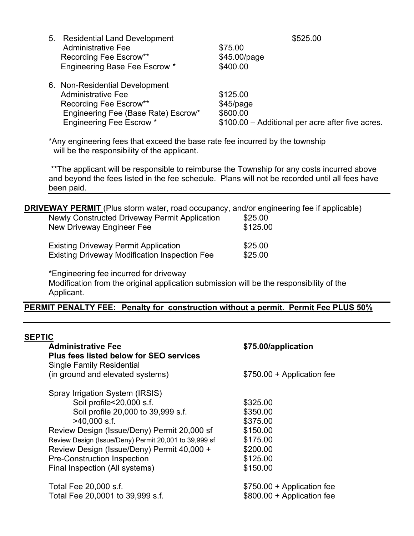| 5. Residential Land Development     | \$525.00                                         |
|-------------------------------------|--------------------------------------------------|
| <b>Administrative Fee</b>           | \$75.00                                          |
| Recording Fee Escrow**              | \$45.00/page                                     |
| Engineering Base Fee Escrow *       | \$400.00                                         |
| 6. Non-Residential Development      |                                                  |
| <b>Administrative Fee</b>           | \$125.00                                         |
| Recording Fee Escrow**              | $$45$ /page                                      |
| Engineering Fee (Base Rate) Escrow* | \$600.00                                         |
| <b>Engineering Fee Escrow *</b>     | \$100.00 - Additional per acre after five acres. |

\*Any engineering fees that exceed the base rate fee incurred by the township will be the responsibility of the applicant.

\*\*The applicant will be responsible to reimburse the Township for any costs incurred above and beyond the fees listed in the fee schedule. Plans will not be recorded until all fees have been paid.

| <b>DRIVEWAY PERMIT</b> (Plus storm water, road occupancy, and/or engineering fee if applicable) |          |
|-------------------------------------------------------------------------------------------------|----------|
| Newly Constructed Driveway Permit Application                                                   | \$25.00  |
| New Driveway Engineer Fee                                                                       | \$125.00 |
| <b>Existing Driveway Permit Application</b>                                                     | \$25.00  |
| <b>Existing Driveway Modification Inspection Fee</b>                                            | \$25.00  |
|                                                                                                 |          |

\*Engineering fee incurred for driveway

Modification from the original application submission will be the responsibility of the Applicant.

# **PERMIT PENALTY FEE: Penalty for construction without a permit. Permit Fee PLUS 50%**

| <b>SEPTIC</b><br><b>Administrative Fee</b><br><b>Plus fees listed below for SEO services</b><br><b>Single Family Residential</b>                                                                                                                                                                                                                  | \$75.00/application                                                                          |
|---------------------------------------------------------------------------------------------------------------------------------------------------------------------------------------------------------------------------------------------------------------------------------------------------------------------------------------------------|----------------------------------------------------------------------------------------------|
| (in ground and elevated systems)                                                                                                                                                                                                                                                                                                                  | \$750.00 + Application fee                                                                   |
| Spray Irrigation System (IRSIS)<br>Soil profile<20,000 s.f.<br>Soil profile 20,000 to 39,999 s.f.<br>$>40,000$ s.f.<br>Review Design (Issue/Deny) Permit 20,000 sf<br>Review Design (Issue/Deny) Permit 20,001 to 39,999 sf<br>Review Design (Issue/Deny) Permit 40,000 +<br><b>Pre-Construction Inspection</b><br>Final Inspection (All systems) | \$325.00<br>\$350.00<br>\$375.00<br>\$150.00<br>\$175.00<br>\$200.00<br>\$125.00<br>\$150.00 |
| Total Fee 20,000 s.f.<br>Total Fee 20,0001 to 39,999 s.f.                                                                                                                                                                                                                                                                                         | \$750.00 + Application fee<br>\$800.00 + Application fee                                     |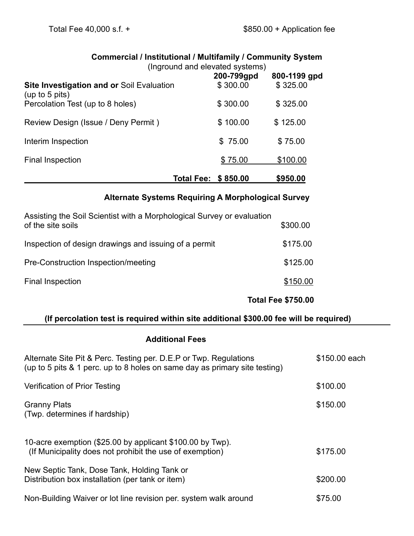|                                                                    | <b>COMMITMED CIGIT MISULATION AT MULTIMATION TO COMMITMENT OVSIGN</b><br>(Inground and elevated systems) |            |              |
|--------------------------------------------------------------------|----------------------------------------------------------------------------------------------------------|------------|--------------|
|                                                                    |                                                                                                          | 200-799gpd | 800-1199 gpd |
| <b>Site Investigation and or Soil Evaluation</b><br>(up to 5 pits) |                                                                                                          | \$300.00   | \$325.00     |
| Percolation Test (up to 8 holes)                                   |                                                                                                          | \$300.00   | \$325.00     |
| Review Design (Issue / Deny Permit)                                |                                                                                                          | \$100.00   | \$125.00     |
| Interim Inspection                                                 |                                                                                                          | \$75.00    | \$75.00      |
| <b>Final Inspection</b>                                            |                                                                                                          | \$75.00    | \$100.00     |
|                                                                    | <b>Total Fee:</b>                                                                                        | \$850.00   | \$950.00     |

# **Commercial / Institutional / Multifamily / Community System**

**Alternate Systems Requiring A Morphological Survey**

| Assisting the Soil Scientist with a Morphological Survey or evaluation |                           |
|------------------------------------------------------------------------|---------------------------|
| of the site soils                                                      | \$300.00                  |
| Inspection of design drawings and issuing of a permit                  | \$175.00                  |
| Pre-Construction Inspection/meeting                                    | \$125.00                  |
| Final Inspection                                                       | \$150.00                  |
|                                                                        | <b>Total Fee \$750.00</b> |

# **(If percolation test is required within site additional \$300.00 fee will be required)**

# **Additional Fees**

| Alternate Site Pit & Perc. Testing per. D.E.P or Twp. Regulations<br>(up to 5 pits & 1 perc. up to 8 holes on same day as primary site testing) | \$150.00 each |
|-------------------------------------------------------------------------------------------------------------------------------------------------|---------------|
| Verification of Prior Testing                                                                                                                   | \$100.00      |
| <b>Granny Plats</b><br>(Twp. determines if hardship)                                                                                            | \$150.00      |
| 10-acre exemption (\$25.00 by applicant \$100.00 by Twp).<br>(If Municipality does not prohibit the use of exemption)                           | \$175.00      |
| New Septic Tank, Dose Tank, Holding Tank or<br>Distribution box installation (per tank or item)                                                 | \$200.00      |
| Non-Building Waiver or lot line revision per. system walk around                                                                                | \$75.00       |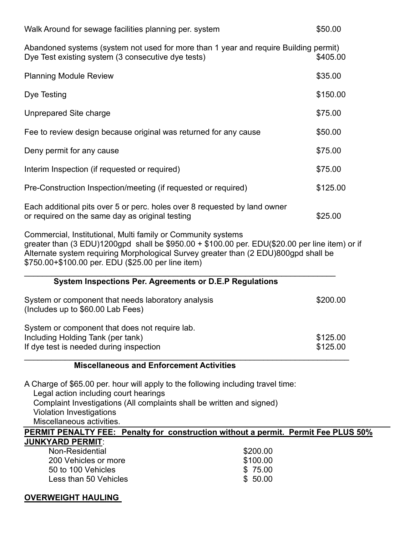| Walk Around for sewage facilities planning per. system                                                                                                                                                                                                                                                      | \$50.00                         |
|-------------------------------------------------------------------------------------------------------------------------------------------------------------------------------------------------------------------------------------------------------------------------------------------------------------|---------------------------------|
| Abandoned systems (system not used for more than 1 year and require Building permit)<br>Dye Test existing system (3 consecutive dye tests)                                                                                                                                                                  | \$405.00                        |
| <b>Planning Module Review</b>                                                                                                                                                                                                                                                                               | \$35.00                         |
| Dye Testing                                                                                                                                                                                                                                                                                                 | \$150.00                        |
| Unprepared Site charge                                                                                                                                                                                                                                                                                      | \$75.00                         |
| Fee to review design because original was returned for any cause                                                                                                                                                                                                                                            | \$50.00                         |
| Deny permit for any cause                                                                                                                                                                                                                                                                                   | \$75.00                         |
| Interim Inspection (if requested or required)                                                                                                                                                                                                                                                               | \$75.00                         |
| Pre-Construction Inspection/meeting (if requested or required)                                                                                                                                                                                                                                              | \$125.00                        |
| Each additional pits over 5 or perc. holes over 8 requested by land owner<br>or required on the same day as original testing                                                                                                                                                                                | \$25.00                         |
| Commercial, Institutional, Multi family or Community systems<br>greater than (3 EDU)1200gpd shall be \$950.00 + \$100.00 per. EDU(\$20.00 per line item) or if<br>Alternate system requiring Morphological Survey greater than (2 EDU)800gpd shall be<br>\$750.00+\$100.00 per. EDU (\$25.00 per line item) |                                 |
| System Inspections Per. Agreements or D.E.P Regulations                                                                                                                                                                                                                                                     |                                 |
| System or component that needs laboratory analysis<br>(Includes up to \$60.00 Lab Fees)                                                                                                                                                                                                                     | \$200.00                        |
| System or component that does not require lab.<br>Including Holding Tank (per tank)<br>If dye test is needed during inspection                                                                                                                                                                              | \$125.00<br>\$125.00            |
| <b>Miscellaneous and Enforcement Activities</b>                                                                                                                                                                                                                                                             |                                 |
| A Charge of \$65.00 per. hour will apply to the following including travel time:<br>Legal action including court hearings<br>Complaint Investigations (All complaints shall be written and signed)<br><b>Violation Investigations</b><br>Miscellaneous activities.                                          |                                 |
| PERMIT PENALTY FEE: Penalty for construction without a permit. Permit Fee PLUS 50%                                                                                                                                                                                                                          |                                 |
| <b>JUNKYARD PERMIT:</b><br>Non-Residential<br>200 Vehicles or more<br>50 to 100 Vehicles<br>\$50.00<br>Less than 50 Vehicles                                                                                                                                                                                | \$200.00<br>\$100.00<br>\$75.00 |

# **OVERWEIGHT HAULING**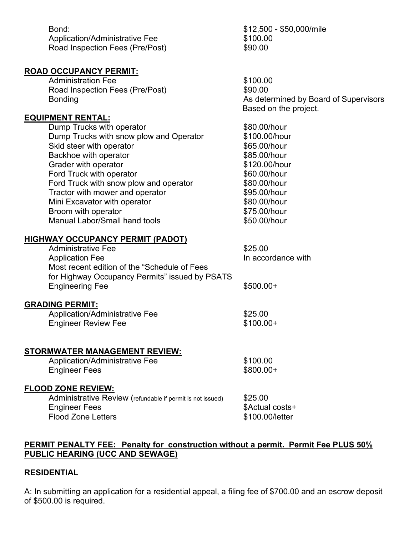| Bond:<br><b>Application/Administrative Fee</b><br>Road Inspection Fees (Pre/Post) | \$12,500 - \$50,000/mile<br>\$100.00<br>\$90.00                |
|-----------------------------------------------------------------------------------|----------------------------------------------------------------|
| <b>ROAD OCCUPANCY PERMIT:</b>                                                     |                                                                |
| <b>Administration Fee</b>                                                         | \$100.00                                                       |
| Road Inspection Fees (Pre/Post)                                                   | \$90.00                                                        |
| <b>Bonding</b>                                                                    | As determined by Board of Supervisors<br>Based on the project. |
| <b>EQUIPMENT RENTAL:</b>                                                          |                                                                |
| Dump Trucks with operator                                                         | \$80.00/hour                                                   |
| Dump Trucks with snow plow and Operator                                           | \$100.00/hour                                                  |
| Skid steer with operator                                                          | \$65.00/hour                                                   |
| Backhoe with operator                                                             | \$85.00/hour                                                   |
| Grader with operator                                                              | \$120.00/hour                                                  |
| Ford Truck with operator                                                          | \$60.00/hour                                                   |
| Ford Truck with snow plow and operator                                            | \$80.00/hour                                                   |
| Tractor with mower and operator                                                   | \$95.00/hour                                                   |
| Mini Excavator with operator                                                      | \$80.00/hour                                                   |
| Broom with operator<br>Manual Labor/Small hand tools                              | \$75.00/hour<br>\$50.00/hour                                   |
|                                                                                   |                                                                |
| <b>HIGHWAY OCCUPANCY PERMIT (PADOT)</b>                                           |                                                                |
| <b>Administrative Fee</b>                                                         | \$25.00                                                        |
| <b>Application Fee</b>                                                            | In accordance with                                             |
| Most recent edition of the "Schedule of Fees                                      |                                                                |
| for Highway Occupancy Permits" issued by PSATS                                    |                                                                |
| <b>Engineering Fee</b>                                                            | $$500.00+$                                                     |
| <b>GRADING PERMIT:</b>                                                            |                                                                |
| Application/Administrative Fee                                                    | \$25.00                                                        |
| <b>Engineer Review Fee</b>                                                        | $$100.00+$                                                     |
|                                                                                   |                                                                |
| <b>STORMWATER MANAGEMENT REVIEW:</b>                                              |                                                                |
| Application/Administrative Fee                                                    | \$100.00                                                       |
| <b>Engineer Fees</b>                                                              | \$800.00+                                                      |
|                                                                                   |                                                                |
| <b>FLOOD ZONE REVIEW:</b>                                                         |                                                                |
| Administrative Review (refundable if permit is not issued)                        | \$25.00                                                        |
| <b>Engineer Fees</b>                                                              | \$Actual costs+                                                |
| <b>Flood Zone Letters</b>                                                         | \$100.00/letter                                                |
|                                                                                   |                                                                |

# **PERMIT PENALTY FEE: Penalty for construction without a permit. Permit Fee PLUS 50% PUBLIC HEARING (UCC AND SEWAGE)**

## **RESIDENTIAL**

A: In submitting an application for a residential appeal, a filing fee of \$700.00 and an escrow deposit of \$500.00 is required.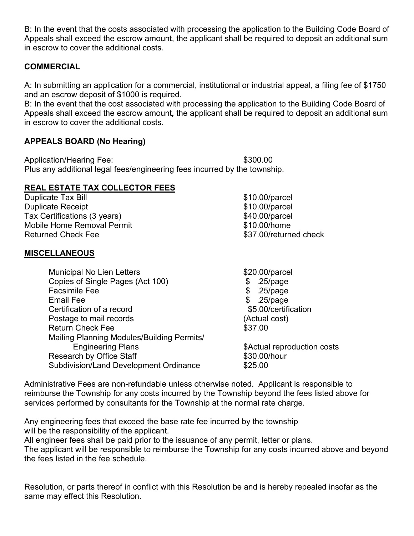B: In the event that the costs associated with processing the application to the Building Code Board of Appeals shall exceed the escrow amount, the applicant shall be required to deposit an additional sum in escrow to cover the additional costs.

# **COMMERCIAL**

A: In submitting an application for a commercial, institutional or industrial appeal, a filing fee of \$1750 and an escrow deposit of \$1000 is required.

B: In the event that the cost associated with processing the application to the Building Code Board of Appeals shall exceed the escrow amount*,* the applicant shall be required to deposit an additional sum in escrow to cover the additional costs.

# **APPEALS BOARD (No Hearing)**

Application/Hearing Fee: \$300.00 Plus any additional legal fees/engineering fees incurred by the township.

# **REAL ESTATE TAX COLLECTOR FEES**

Duplicate Tax Bill **Duplicate Tax Bill**  $$10.00/parcell$ Duplicate Receipt  $$10.00/p$ arcel Tax Certifications (3 years)  $$40.00/parcell$ Mobile Home Removal Permit<br>
Returned Check Fee<br>
\$37.00/return

## **MISCELLANEOUS**

Municipal No Lien Letters \$20.00/parcel Copies of Single Pages (Act 100) \$ .25/page Facsimile Fee  $\sim$  8 .25/page Email Fee  $\qquad \qquad$  \$ .25/page Certification of a record  $$5.00/c$ ertification Postage to mail records (Actual cost) Return Check Fee  $$37.00$ Mailing Planning Modules/Building Permits/ Engineering Plans **Engineering Plans 1988** Research by Office Staff  $$30.00/h$ our Subdivision/Land Development Ordinance \$25.00

\$37.00/returned check

Administrative Fees are non-refundable unless otherwise noted. Applicant is responsible to reimburse the Township for any costs incurred by the Township beyond the fees listed above for services performed by consultants for the Township at the normal rate charge.

Any engineering fees that exceed the base rate fee incurred by the township will be the responsibility of the applicant.

All engineer fees shall be paid prior to the issuance of any permit, letter or plans. The applicant will be responsible to reimburse the Township for any costs incurred above and beyond the fees listed in the fee schedule.

Resolution, or parts thereof in conflict with this Resolution be and is hereby repealed insofar as the same may effect this Resolution.